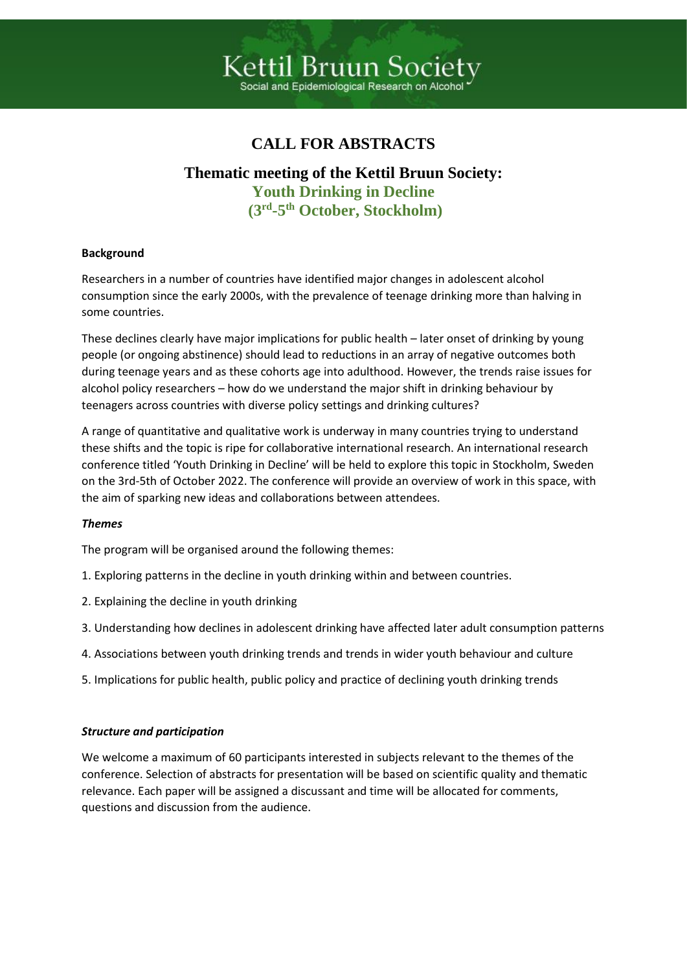# Kettil Bruun Societ .<br>Social and Epidemiological Researc

## **CALL FOR ABSTRACTS**

### **Thematic meeting of the Kettil Bruun Society: Youth Drinking in Decline (3 rd -5 th October, Stockholm)**

#### **Background**

Researchers in a number of countries have identified major changes in adolescent alcohol consumption since the early 2000s, with the prevalence of teenage drinking more than halving in some countries.

These declines clearly have major implications for public health – later onset of drinking by young people (or ongoing abstinence) should lead to reductions in an array of negative outcomes both during teenage years and as these cohorts age into adulthood. However, the trends raise issues for alcohol policy researchers – how do we understand the major shift in drinking behaviour by teenagers across countries with diverse policy settings and drinking cultures?

A range of quantitative and qualitative work is underway in many countries trying to understand these shifts and the topic is ripe for collaborative international research. An international research conference titled 'Youth Drinking in Decline' will be held to explore this topic in Stockholm, Sweden on the 3rd-5th of October 2022. The conference will provide an overview of work in this space, with the aim of sparking new ideas and collaborations between attendees.

#### *Themes*

The program will be organised around the following themes:

- 1. Exploring patterns in the decline in youth drinking within and between countries.
- 2. Explaining the decline in youth drinking
- 3. Understanding how declines in adolescent drinking have affected later adult consumption patterns
- 4. Associations between youth drinking trends and trends in wider youth behaviour and culture
- 5. Implications for public health, public policy and practice of declining youth drinking trends

#### *Structure and participation*

We welcome a maximum of 60 participants interested in subjects relevant to the themes of the conference. Selection of abstracts for presentation will be based on scientific quality and thematic relevance. Each paper will be assigned a discussant and time will be allocated for comments, questions and discussion from the audience.